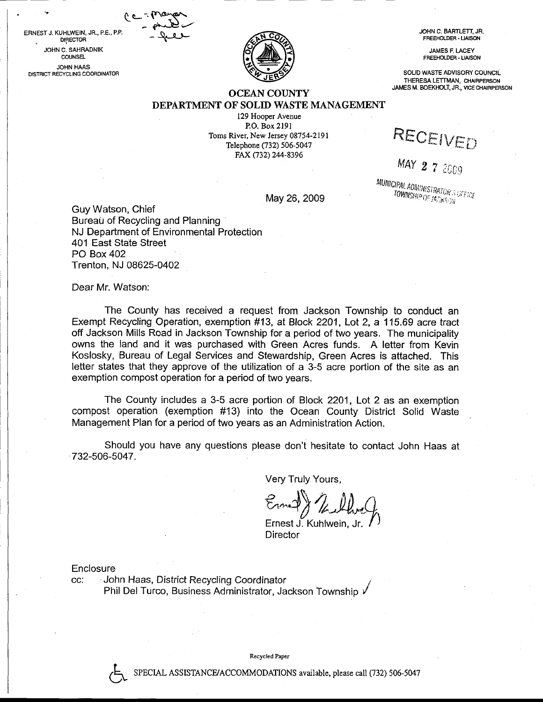ERNEST J. KUHLWEIN. JR., P.E.. P.P. . DIRECTOR JOHN C. SAHRADNIK **COUNSEL** JOHN HAAS DISTRICT RECYCLING COORDINATOR



JOHN C. BAFTLETT, JR. FREEHOLDER - UAISON

> **JAMES F. LACEY** FREEHOLDER. LIAISON

SOLID WASTE ADVISORY COUNCIL THERESA LETTMAN, CHAIRPERSON JAMES M, BOEKHOLT, JR., VICE CHAIRPERSON

## OCEAN COUNTY DEPARTMENT OF SOLID WASTE MANAGEMENT

129 Hooper Avenue P.O. Box 2l9l Toms River, New Jersey 08754-2191 Telephone (732) 506-5047 FAX (732) 244-8396

RECEIVED

MAY  $2$  7 2009

*MUNICIPAL ADAMNATI*  $\mathsf{May}~26, 2009$  and  $\mathsf{U^{WWMSHP}O^{ETACMSON}}$ 

Guy Watson, Chief Bureau of Recycling and Planning NJ Department of Environmental Protection 401 East State Street PO Box 402 Trenton, NJ 08625-0402

 $6 - i$  component  $-$  ghabit $-$  - Level  $-$ 

Dear Mr. Watson:

The County has received a request from Jackson Township to conduct an Exempt Recycling Operation, exemption #13, at Block 2201, Lot 2, a 115.69 acre tract off Jackson Mills Road in Jackson Township for a period of two years. The municipality owns the land and it was purchased with Green Acres funds. A letter from Kevin Koslosky, Bureau of Legal Services and Stewardship, Green Acres is attached. This letter states that they approve of the utilization of a 3-5 acre portion of the site as an exemption compost operation for a period of two years.

The County includes a 3-5 acre portion of Block 2201, Lot 2 as an exemption compost operation (exemption #13) into the Ocean County District Solid Waste Management Plan for a period of two years as an Administration Action.

Should you have any questions please don't hesitate to contact John Haas at 732-506-5047.

Very Truly Yours,

 $\mathcal{E}_\text{max}(\lambda, \lambda)$ Ernest J. Kuhlwein, Jr.  $\bigwedge$ 

**Director** 

**Enclosure** 

?

cc: John Haas, District Recycling Coordinator Phil Del Turco, Business Administrator, Jackson Township y'

Recycled Paper

SPECIAL ASSISTANCE/ACCOMMODATIONS available, please call (732) 506-5047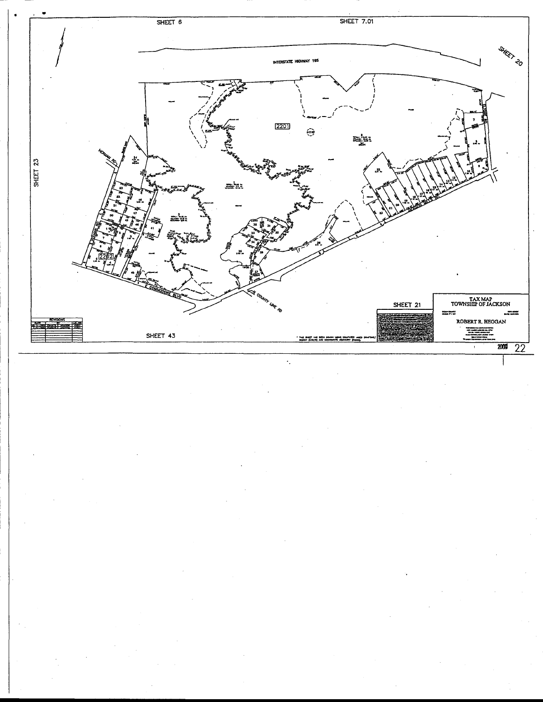